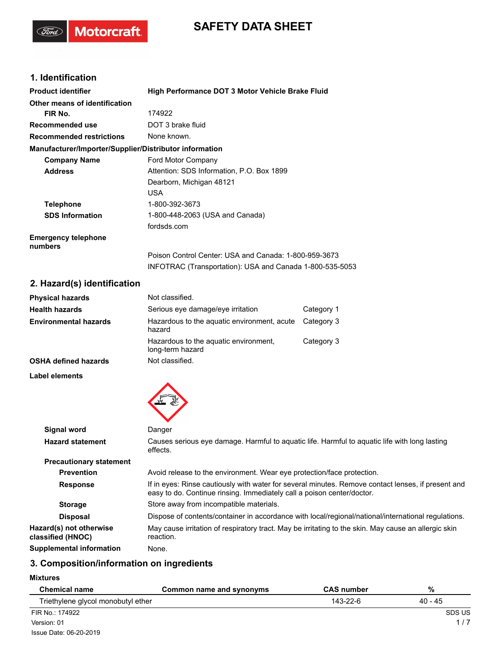## **SAFETY DATA SHEET**

## **1. Identification**

(Ford)

Motorcraft.

| <b>Product identifier</b>                              | High Performance DOT 3 Motor Vehicle Brake Fluid                                                                  |
|--------------------------------------------------------|-------------------------------------------------------------------------------------------------------------------|
| Other means of identification                          |                                                                                                                   |
| FIR No.                                                | 174922                                                                                                            |
| Recommended use                                        | DOT 3 brake fluid                                                                                                 |
| <b>Recommended restrictions</b>                        | None known.                                                                                                       |
| Manufacturer/Importer/Supplier/Distributor information |                                                                                                                   |
| <b>Company Name</b>                                    | Ford Motor Company                                                                                                |
| <b>Address</b>                                         | Attention: SDS Information, P.O. Box 1899                                                                         |
|                                                        | Dearborn, Michigan 48121                                                                                          |
|                                                        | <b>USA</b>                                                                                                        |
| <b>Telephone</b>                                       | 1-800-392-3673                                                                                                    |
| <b>SDS Information</b>                                 | 1-800-448-2063 (USA and Canada)                                                                                   |
|                                                        | fordsds.com                                                                                                       |
| <b>Emergency telephone</b><br>numbers                  |                                                                                                                   |
|                                                        | Poison Control Center: USA and Canada: 1-800-959-3673<br>INFOTRAC (Transportation): USA and Canada 1-800-535-5053 |

## **2. Hazard(s) identification**

| <b>Physical hazards</b>      | Not classified.                                           |            |
|------------------------------|-----------------------------------------------------------|------------|
| <b>Health hazards</b>        | Serious eye damage/eye irritation                         | Category 1 |
| <b>Environmental hazards</b> | Hazardous to the aguatic environment, acute<br>hazard     | Category 3 |
|                              | Hazardous to the aguatic environment,<br>long-term hazard | Category 3 |
| <b>OSHA defined hazards</b>  | Not classified.                                           |            |

 $\blacktriangle$ 

**Label elements**

| Signal word                                  | Danger                                                                                                                                                                       |
|----------------------------------------------|------------------------------------------------------------------------------------------------------------------------------------------------------------------------------|
| <b>Hazard statement</b>                      | Causes serious eye damage. Harmful to aguatic life. Harmful to aguatic life with long lasting<br>effects.                                                                    |
| <b>Precautionary statement</b>               |                                                                                                                                                                              |
| <b>Prevention</b>                            | Avoid release to the environment. Wear eye protection/face protection.                                                                                                       |
| <b>Response</b>                              | If in eyes: Rinse cautiously with water for several minutes. Remove contact lenses, if present and<br>easy to do. Continue rinsing. Immediately call a poison center/doctor. |
| <b>Storage</b>                               | Store away from incompatible materials.                                                                                                                                      |
| <b>Disposal</b>                              | Dispose of contents/container in accordance with local/regional/national/international regulations.                                                                          |
| Hazard(s) not otherwise<br>classified (HNOC) | May cause irritation of respiratory tract. May be irritating to the skin. May cause an allergic skin<br>reaction.                                                            |
| Supplemental information                     | None.                                                                                                                                                                        |

## **3. Composition/information on ingredients**

**Mixtures**

| <b>Chemical name</b>               | Common name and synonyms | <b>CAS</b> number | %       |
|------------------------------------|--------------------------|-------------------|---------|
| Triethylene glycol monobutyl ether |                          | 143-22-6          | 40 - 45 |
| FIR No.: 174922                    |                          |                   | SDS US  |
| Version: 01                        |                          | 1/7               |         |
| Issue Date: 06-20-2019             |                          |                   |         |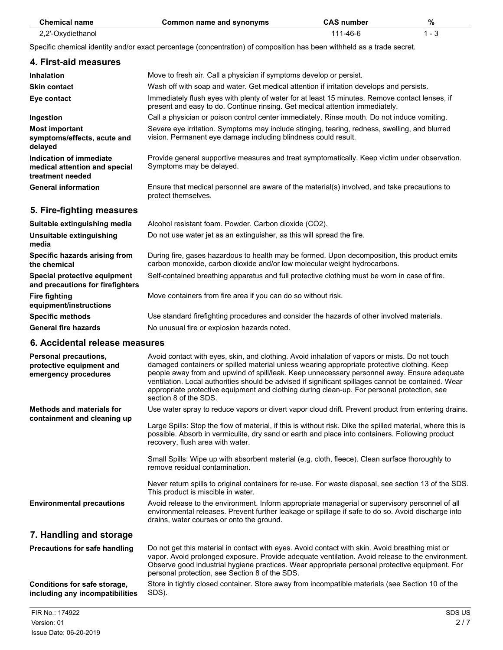| <b>Chemical name</b>  | Common name and synonyms                                                                                                                                                       | <b>CAS number</b> | %       |
|-----------------------|--------------------------------------------------------------------------------------------------------------------------------------------------------------------------------|-------------------|---------|
| 2,2'-Oxydiethanol     |                                                                                                                                                                                | 111-46-6          | $1 - 3$ |
|                       | Specific chemical identity and/or exact percentage (concentration) of composition has been withheld as a trade secret.                                                         |                   |         |
| 4. First-aid measures |                                                                                                                                                                                |                   |         |
| <b>Inhalation</b>     | Move to fresh air. Call a physician if symptoms develop or persist.                                                                                                            |                   |         |
| <b>Skin contact</b>   | Wash off with soap and water. Get medical attention if irritation develops and persists.                                                                                       |                   |         |
| Eye contact           | Immediately flush eyes with plenty of water for at least 15 minutes. Remove contact lenses, if<br>present and easy to do. Continue rinsing. Get medical attention immediately. |                   |         |

vision. Permanent eye damage including blindness could result.

Symptoms may be delayed.

protect themselves.

Severe eye irritation. Symptoms may include stinging, tearing, redness, swelling, and blurred

Provide general supportive measures and treat symptomatically. Keep victim under observation.

Ensure that medical personnel are aware of the material(s) involved, and take precautions to

**Ingestion** Call a physician or poison control center immediately. Rinse mouth. Do not induce vomiting. **Most important symptoms/effects, acute and delayed Indication of immediate**

**medical attention and special treatment needed**

**General information**

## **5. Fire-fighting measures**

| Suitable extinguishing media                                     | Alcohol resistant foam. Powder. Carbon dioxide (CO2).                                                                                                                     |
|------------------------------------------------------------------|---------------------------------------------------------------------------------------------------------------------------------------------------------------------------|
| Unsuitable extinguishing<br>media                                | Do not use water jet as an extinguisher, as this will spread the fire.                                                                                                    |
| Specific hazards arising from<br>the chemical                    | During fire, gases hazardous to health may be formed. Upon decomposition, this product emits<br>carbon monoxide, carbon dioxide and/or low molecular weight hydrocarbons. |
| Special protective equipment<br>and precautions for firefighters | Self-contained breathing apparatus and full protective clothing must be worn in case of fire.                                                                             |
| <b>Fire fighting</b><br>equipment/instructions                   | Move containers from fire area if you can do so without risk.                                                                                                             |
| <b>Specific methods</b>                                          | Use standard firefighting procedures and consider the hazards of other involved materials.                                                                                |
| <b>General fire hazards</b>                                      | No unusual fire or explosion hazards noted.                                                                                                                               |

## **6. Accidental release measures**

| <b>Personal precautions,</b><br>protective equipment and<br>emergency procedures | Avoid contact with eyes, skin, and clothing. Avoid inhalation of vapors or mists. Do not touch<br>damaged containers or spilled material unless wearing appropriate protective clothing. Keep<br>people away from and upwind of spill/leak. Keep unnecessary personnel away. Ensure adequate<br>ventilation. Local authorities should be advised if significant spillages cannot be contained. Wear<br>appropriate protective equipment and clothing during clean-up. For personal protection, see<br>section 8 of the SDS. |
|----------------------------------------------------------------------------------|-----------------------------------------------------------------------------------------------------------------------------------------------------------------------------------------------------------------------------------------------------------------------------------------------------------------------------------------------------------------------------------------------------------------------------------------------------------------------------------------------------------------------------|
| <b>Methods and materials for</b><br>containment and cleaning up                  | Use water spray to reduce vapors or divert vapor cloud drift. Prevent product from entering drains.<br>Large Spills: Stop the flow of material, if this is without risk. Dike the spilled material, where this is<br>possible. Absorb in vermiculite, dry sand or earth and place into containers. Following product<br>recovery, flush area with water.<br>Small Spills: Wipe up with absorbent material (e.g. cloth, fleece). Clean surface thoroughly to                                                                 |
| <b>Environmental precautions</b>                                                 | remove residual contamination.<br>Never return spills to original containers for re-use. For waste disposal, see section 13 of the SDS.<br>This product is miscible in water.<br>Avoid release to the environment. Inform appropriate managerial or supervisory personnel of all<br>environmental releases. Prevent further leakage or spillage if safe to do so. Avoid discharge into<br>drains, water courses or onto the ground.                                                                                         |
| 7. Handling and storage                                                          |                                                                                                                                                                                                                                                                                                                                                                                                                                                                                                                             |
| <b>Precautions for safe handling</b>                                             | Do not get this material in contact with eyes. Avoid contact with skin. Avoid breathing mist or<br>vapor. Avoid prolonged exposure. Provide adequate ventilation. Avoid release to the environment.<br>Observe good industrial hygiene practices. Wear appropriate personal protective equipment. For<br>personal protection, see Section 8 of the SDS.                                                                                                                                                                     |
| Conditions for safe storage,<br>including any incompatibilities                  | Store in tightly closed container. Store away from incompatible materials (see Section 10 of the<br>SDS).                                                                                                                                                                                                                                                                                                                                                                                                                   |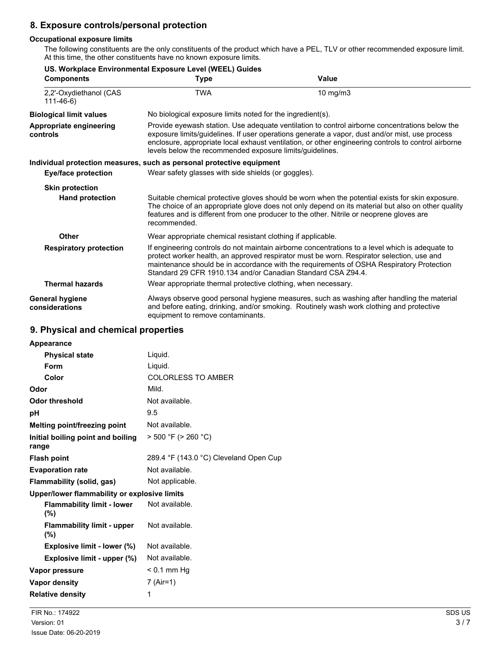## **8. Exposure controls/personal protection**

#### **Occupational exposure limits**

The following constituents are the only constituents of the product which have a PEL, TLV or other recommended exposure limit. At this time, the other constituents have no known exposure limits.

| <b>Components</b>                        | US. Workplace Environmental Exposure Level (WEEL) Guides<br>Type                                                                                                                                                                                                                                                                                                    | Value                                                                                                                                                                                                                                                                                            |  |
|------------------------------------------|---------------------------------------------------------------------------------------------------------------------------------------------------------------------------------------------------------------------------------------------------------------------------------------------------------------------------------------------------------------------|--------------------------------------------------------------------------------------------------------------------------------------------------------------------------------------------------------------------------------------------------------------------------------------------------|--|
| 2,2'-Oxydiethanol (CAS<br>$111 - 46 - 6$ | <b>TWA</b>                                                                                                                                                                                                                                                                                                                                                          | 10 $mg/m3$                                                                                                                                                                                                                                                                                       |  |
| <b>Biological limit values</b>           | No biological exposure limits noted for the ingredient(s).                                                                                                                                                                                                                                                                                                          |                                                                                                                                                                                                                                                                                                  |  |
| Appropriate engineering<br>controls      | Provide eyewash station. Use adequate ventilation to control airborne concentrations below the<br>exposure limits/guidelines. If user operations generate a vapor, dust and/or mist, use process<br>enclosure, appropriate local exhaust ventilation, or other engineering controls to control airborne<br>levels below the recommended exposure limits/guidelines. |                                                                                                                                                                                                                                                                                                  |  |
|                                          | Individual protection measures, such as personal protective equipment                                                                                                                                                                                                                                                                                               |                                                                                                                                                                                                                                                                                                  |  |
| <b>Eye/face protection</b>               |                                                                                                                                                                                                                                                                                                                                                                     | Wear safety glasses with side shields (or goggles).                                                                                                                                                                                                                                              |  |
| <b>Skin protection</b>                   |                                                                                                                                                                                                                                                                                                                                                                     |                                                                                                                                                                                                                                                                                                  |  |
| <b>Hand protection</b>                   | recommended.                                                                                                                                                                                                                                                                                                                                                        | Suitable chemical protective gloves should be worn when the potential exists for skin exposure.<br>The choice of an appropriate glove does not only depend on its material but also on other quality<br>features and is different from one producer to the other. Nitrile or neoprene gloves are |  |
| Other                                    | Wear appropriate chemical resistant clothing if applicable.                                                                                                                                                                                                                                                                                                         |                                                                                                                                                                                                                                                                                                  |  |
| <b>Respiratory protection</b>            | Standard 29 CFR 1910.134 and/or Canadian Standard CSA Z94.4.                                                                                                                                                                                                                                                                                                        | If engineering controls do not maintain airborne concentrations to a level which is adequate to<br>protect worker health, an approved respirator must be worn. Respirator selection, use and<br>maintenance should be in accordance with the requirements of OSHA Respiratory Protection         |  |
| <b>Thermal hazards</b>                   | Wear appropriate thermal protective clothing, when necessary.                                                                                                                                                                                                                                                                                                       |                                                                                                                                                                                                                                                                                                  |  |
| <b>General hygiene</b><br>considerations | equipment to remove contaminants.                                                                                                                                                                                                                                                                                                                                   | Always observe good personal hygiene measures, such as washing after handling the material<br>and before eating, drinking, and/or smoking. Routinely wash work clothing and protective                                                                                                           |  |

## **9. Physical and chemical properties**

| Appearance                                   |                                        |
|----------------------------------------------|----------------------------------------|
| <b>Physical state</b>                        | Liquid.                                |
| <b>Form</b>                                  | Liquid.                                |
| Color                                        | <b>COLORLESS TO AMBER</b>              |
| Odor                                         | Mild.                                  |
| <b>Odor threshold</b>                        | Not available.                         |
| рH                                           | 9.5                                    |
| Melting point/freezing point                 | Not available.                         |
| Initial boiling point and boiling<br>range   | $>$ 500 °F ( $>$ 260 °C)               |
| <b>Flash point</b>                           | 289.4 °F (143.0 °C) Cleveland Open Cup |
| <b>Evaporation rate</b>                      | Not available.                         |
| Flammability (solid, gas)                    | Not applicable.                        |
| Upper/lower flammability or explosive limits |                                        |
| <b>Flammability limit - lower</b><br>(%)     | Not available.                         |
| <b>Flammability limit - upper</b><br>(%)     | Not available.                         |
| Explosive limit - lower (%)                  | Not available.                         |
| Explosive limit - upper (%)                  | Not available.                         |
| Vapor pressure                               | < 0.1 mm Hg                            |
| Vapor density                                | 7 (Air=1)                              |
| <b>Relative density</b>                      | 1                                      |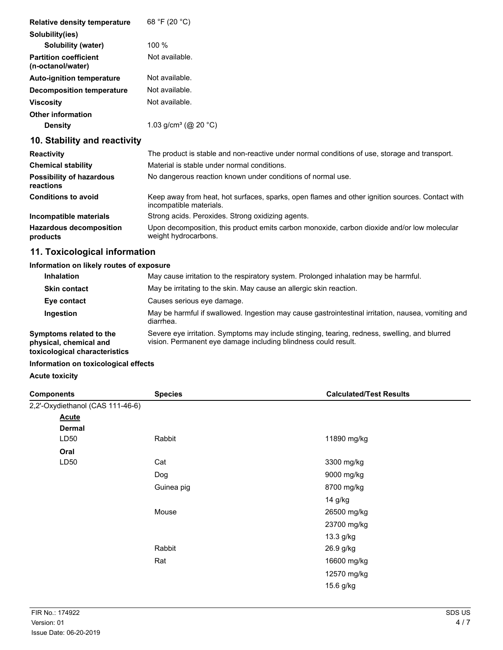| <b>Relative density temperature</b>                                                                                                                                                                                                                                                                                                                                                  | 68 °F (20 °C)                    |
|--------------------------------------------------------------------------------------------------------------------------------------------------------------------------------------------------------------------------------------------------------------------------------------------------------------------------------------------------------------------------------------|----------------------------------|
| Solubility(ies)                                                                                                                                                                                                                                                                                                                                                                      |                                  |
| Solubility (water)                                                                                                                                                                                                                                                                                                                                                                   | $100 \%$                         |
| <b>Partition coefficient</b><br>(n-octanol/water)                                                                                                                                                                                                                                                                                                                                    | Not available.                   |
| <b>Auto-ignition temperature</b>                                                                                                                                                                                                                                                                                                                                                     | Not available.                   |
| <b>Decomposition temperature</b>                                                                                                                                                                                                                                                                                                                                                     | Not available.                   |
| <b>Viscosity</b>                                                                                                                                                                                                                                                                                                                                                                     | Not available.                   |
| <b>Other information</b>                                                                                                                                                                                                                                                                                                                                                             |                                  |
| <b>Density</b>                                                                                                                                                                                                                                                                                                                                                                       | 1.03 g/cm <sup>3</sup> (@ 20 °C) |
| $\overline{A}$ $\overline{A}$ $\overline{A}$ $\overline{A}$ $\overline{A}$ $\overline{A}$ $\overline{A}$ $\overline{A}$ $\overline{A}$ $\overline{A}$ $\overline{A}$ $\overline{A}$ $\overline{A}$ $\overline{A}$ $\overline{A}$ $\overline{A}$ $\overline{A}$ $\overline{A}$ $\overline{A}$ $\overline{A}$ $\overline{A}$ $\overline{A}$ $\overline{A}$ $\overline{A}$ $\overline{$ |                                  |

## **10. Stability and reactivity**

| <b>Reactivity</b>                            | The product is stable and non-reactive under normal conditions of use, storage and transport.                              |
|----------------------------------------------|----------------------------------------------------------------------------------------------------------------------------|
| <b>Chemical stability</b>                    | Material is stable under normal conditions.                                                                                |
| <b>Possibility of hazardous</b><br>reactions | No dangerous reaction known under conditions of normal use.                                                                |
| <b>Conditions to avoid</b>                   | Keep away from heat, hot surfaces, sparks, open flames and other ignition sources. Contact with<br>incompatible materials. |
| Incompatible materials                       | Strong acids. Peroxides. Strong oxidizing agents.                                                                          |
| <b>Hazardous decomposition</b><br>products   | Upon decomposition, this product emits carbon monoxide, carbon dioxide and/or low molecular<br>weight hydrocarbons.        |

## **11. Toxicological information**

## **Information on likely routes of exposure**

| <b>Inhalation</b>                                                                  | May cause irritation to the respiratory system. Prolonged inhalation may be harmful.                                                                            |
|------------------------------------------------------------------------------------|-----------------------------------------------------------------------------------------------------------------------------------------------------------------|
| <b>Skin contact</b>                                                                | May be irritating to the skin. May cause an allergic skin reaction.                                                                                             |
| Eye contact                                                                        | Causes serious eye damage.                                                                                                                                      |
| Ingestion                                                                          | May be harmful if swallowed. Ingestion may cause gastrointestinal irritation, nausea, vomiting and<br>diarrhea.                                                 |
| Symptoms related to the<br>physical, chemical and<br>toxicological characteristics | Severe eye irritation. Symptoms may include stinging, tearing, redness, swelling, and blurred<br>vision. Permanent eye damage including blindness could result. |

#### **Information on toxicological effects**

**Acute toxicity**

| <b>Components</b>                | <b>Species</b> | <b>Calculated/Test Results</b> |  |
|----------------------------------|----------------|--------------------------------|--|
| 2,2'-Oxydiethanol (CAS 111-46-6) |                |                                |  |
| <b>Acute</b>                     |                |                                |  |
| <b>Dermal</b>                    |                |                                |  |
| LD <sub>50</sub>                 | Rabbit         | 11890 mg/kg                    |  |
| Oral                             |                |                                |  |
| LD50                             | Cat            | 3300 mg/kg                     |  |
|                                  | Dog            | 9000 mg/kg                     |  |
|                                  | Guinea pig     | 8700 mg/kg                     |  |
|                                  |                | 14 g/kg                        |  |
|                                  | Mouse          | 26500 mg/kg                    |  |
|                                  |                | 23700 mg/kg                    |  |
|                                  |                | 13.3 g/kg                      |  |
|                                  | Rabbit         | 26.9 g/kg                      |  |
|                                  | Rat            | 16600 mg/kg                    |  |
|                                  |                | 12570 mg/kg                    |  |
|                                  |                | 15.6 g/kg                      |  |
|                                  |                |                                |  |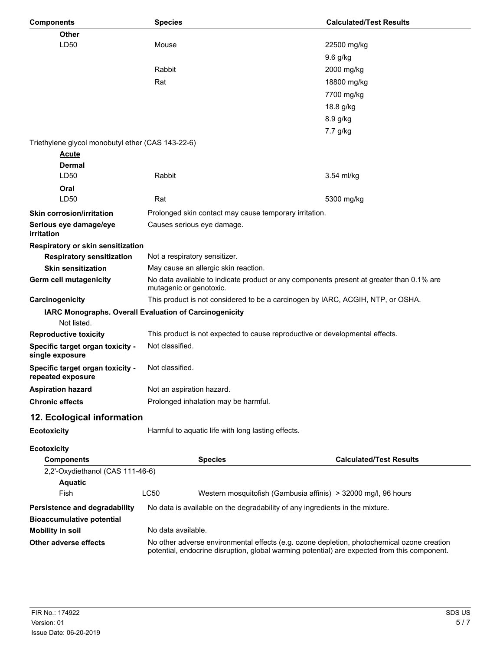| <b>Components</b>                                     | <b>Species</b>                                                                                                                                                                             | <b>Calculated/Test Results</b> |  |
|-------------------------------------------------------|--------------------------------------------------------------------------------------------------------------------------------------------------------------------------------------------|--------------------------------|--|
| Other                                                 |                                                                                                                                                                                            |                                |  |
| LD50                                                  | Mouse                                                                                                                                                                                      | 22500 mg/kg                    |  |
|                                                       |                                                                                                                                                                                            | 9.6 g/kg                       |  |
|                                                       | Rabbit                                                                                                                                                                                     | 2000 mg/kg                     |  |
|                                                       | Rat                                                                                                                                                                                        | 18800 mg/kg                    |  |
|                                                       |                                                                                                                                                                                            | 7700 mg/kg                     |  |
|                                                       |                                                                                                                                                                                            | 18.8 g/kg                      |  |
|                                                       |                                                                                                                                                                                            | 8.9 g/kg                       |  |
|                                                       |                                                                                                                                                                                            | 7.7 g/kg                       |  |
| Triethylene glycol monobutyl ether (CAS 143-22-6)     |                                                                                                                                                                                            |                                |  |
| <u>Acute</u>                                          |                                                                                                                                                                                            |                                |  |
| Dermal                                                |                                                                                                                                                                                            |                                |  |
| LD50                                                  | <b>Rabbit</b>                                                                                                                                                                              | 3.54 ml/kg                     |  |
| Oral                                                  |                                                                                                                                                                                            |                                |  |
| LD50                                                  | Rat                                                                                                                                                                                        | 5300 mg/kg                     |  |
| <b>Skin corrosion/irritation</b>                      | Prolonged skin contact may cause temporary irritation.                                                                                                                                     |                                |  |
| Serious eye damage/eye<br>irritation                  | Causes serious eye damage.                                                                                                                                                                 |                                |  |
| Respiratory or skin sensitization                     |                                                                                                                                                                                            |                                |  |
| <b>Respiratory sensitization</b>                      | Not a respiratory sensitizer.                                                                                                                                                              |                                |  |
| <b>Skin sensitization</b>                             | May cause an allergic skin reaction.                                                                                                                                                       |                                |  |
| Germ cell mutagenicity                                | No data available to indicate product or any components present at greater than 0.1% are                                                                                                   |                                |  |
|                                                       | mutagenic or genotoxic.                                                                                                                                                                    |                                |  |
| Carcinogenicity                                       | This product is not considered to be a carcinogen by IARC, ACGIH, NTP, or OSHA.                                                                                                            |                                |  |
|                                                       | IARC Monographs. Overall Evaluation of Carcinogenicity                                                                                                                                     |                                |  |
| Not listed.                                           |                                                                                                                                                                                            |                                |  |
| <b>Reproductive toxicity</b>                          | This product is not expected to cause reproductive or developmental effects.                                                                                                               |                                |  |
| Specific target organ toxicity -<br>single exposure   | Not classified.                                                                                                                                                                            |                                |  |
| Specific target organ toxicity -<br>repeated exposure | Not classified.                                                                                                                                                                            |                                |  |
| <b>Aspiration hazard</b>                              | Not an aspiration hazard.                                                                                                                                                                  |                                |  |
| <b>Chronic effects</b>                                | Prolonged inhalation may be harmful.                                                                                                                                                       |                                |  |
| 12. Ecological information                            |                                                                                                                                                                                            |                                |  |
| <b>Ecotoxicity</b>                                    | Harmful to aquatic life with long lasting effects.                                                                                                                                         |                                |  |
| <b>Ecotoxicity</b>                                    |                                                                                                                                                                                            |                                |  |
| <b>Components</b>                                     | <b>Species</b>                                                                                                                                                                             | <b>Calculated/Test Results</b> |  |
| 2,2'-Oxydiethanol (CAS 111-46-6)                      |                                                                                                                                                                                            |                                |  |
| <b>Aquatic</b>                                        |                                                                                                                                                                                            |                                |  |
| Fish                                                  | <b>LC50</b><br>Western mosquitofish (Gambusia affinis) > 32000 mg/l, 96 hours                                                                                                              |                                |  |
| Persistence and degradability                         | No data is available on the degradability of any ingredients in the mixture.                                                                                                               |                                |  |
| <b>Bioaccumulative potential</b>                      |                                                                                                                                                                                            |                                |  |
| <b>Mobility in soil</b>                               | No data available.                                                                                                                                                                         |                                |  |
| Other adverse effects                                 | No other adverse environmental effects (e.g. ozone depletion, photochemical ozone creation<br>potential, endocrine disruption, global warming potential) are expected from this component. |                                |  |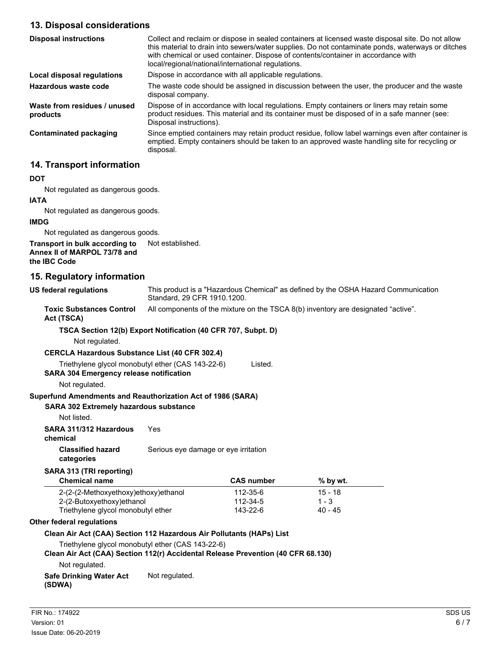## **13. Disposal considerations**

| <b>Disposal instructions</b>             | Collect and reclaim or dispose in sealed containers at licensed waste disposal site. Do not allow<br>this material to drain into sewers/water supplies. Do not contaminate ponds, waterways or ditches<br>with chemical or used container. Dispose of contents/container in accordance with<br>local/regional/national/international regulations. |
|------------------------------------------|---------------------------------------------------------------------------------------------------------------------------------------------------------------------------------------------------------------------------------------------------------------------------------------------------------------------------------------------------|
| Local disposal regulations               | Dispose in accordance with all applicable regulations.                                                                                                                                                                                                                                                                                            |
| Hazardous waste code                     | The waste code should be assigned in discussion between the user, the producer and the waste<br>disposal company.                                                                                                                                                                                                                                 |
| Waste from residues / unused<br>products | Dispose of in accordance with local regulations. Empty containers or liners may retain some<br>product residues. This material and its container must be disposed of in a safe manner (see:<br>Disposal instructions).                                                                                                                            |
| <b>Contaminated packaging</b>            | Since emptied containers may retain product residue, follow label warnings even after container is<br>emptied. Empty containers should be taken to an approved waste handling site for recycling or<br>disposal.                                                                                                                                  |

## **14. Transport information**

#### **DOT**

Not regulated as dangerous goods.

#### **IATA**

Not regulated as dangerous goods.

#### **IMDG**

Not regulated as dangerous goods.

#### **Transport in bulk according to** Not established. **Annex II of MARPOL 73/78 and the IBC Code**

#### **15. Regulatory information**

This product is a "Hazardous Chemical" as defined by the OSHA Hazard Communication Standard, 29 CFR 1910.1200. **US federal regulations**

**Toxic Substances Control** All components of the mixture on the TSCA 8(b) inventory are designated "active".

#### **Act (TSCA)**

#### **TSCA Section 12(b) Export Notification (40 CFR 707, Subpt. D)**

Not regulated.

#### **CERCLA Hazardous Substance List (40 CFR 302.4)**

- Triethylene glycol monobutyl ether (CAS 143-22-6) Listed.
- **SARA 304 Emergency release notification**

#### Not regulated.

#### **Superfund Amendments and Reauthorization Act of 1986 (SARA)**

#### **SARA 302 Extremely hazardous substance**

Not listed.

#### **SARA 311/312 Hazardous** Yes

**chemical**

# **categories**

**Classified hazard** Serious eye damage or eye irritation

#### **SARA 313 (TRI reporting)**

| <b>Chemical name</b>                 | <b>CAS number</b> | % by wt.  |  |
|--------------------------------------|-------------------|-----------|--|
| 2-(2-(2-Methoxyethoxy)ethoxy)ethanol | 112-35-6          | $15 - 18$ |  |
| 2-(2-Butoxyethoxy)ethanol            | 112-34-5          | $1 - 3$   |  |
| Triethylene glycol monobutyl ether   | 143-22-6          | $40 - 45$ |  |

#### **Other federal regulations**

#### **Clean Air Act (CAA) Section 112 Hazardous Air Pollutants (HAPs) List**

Triethylene glycol monobutyl ether (CAS 143-22-6)

#### **Clean Air Act (CAA) Section 112(r) Accidental Release Prevention (40 CFR 68.130)**

Not regulated.

#### **Safe Drinking Water Act** Not regulated. **(SDWA)**